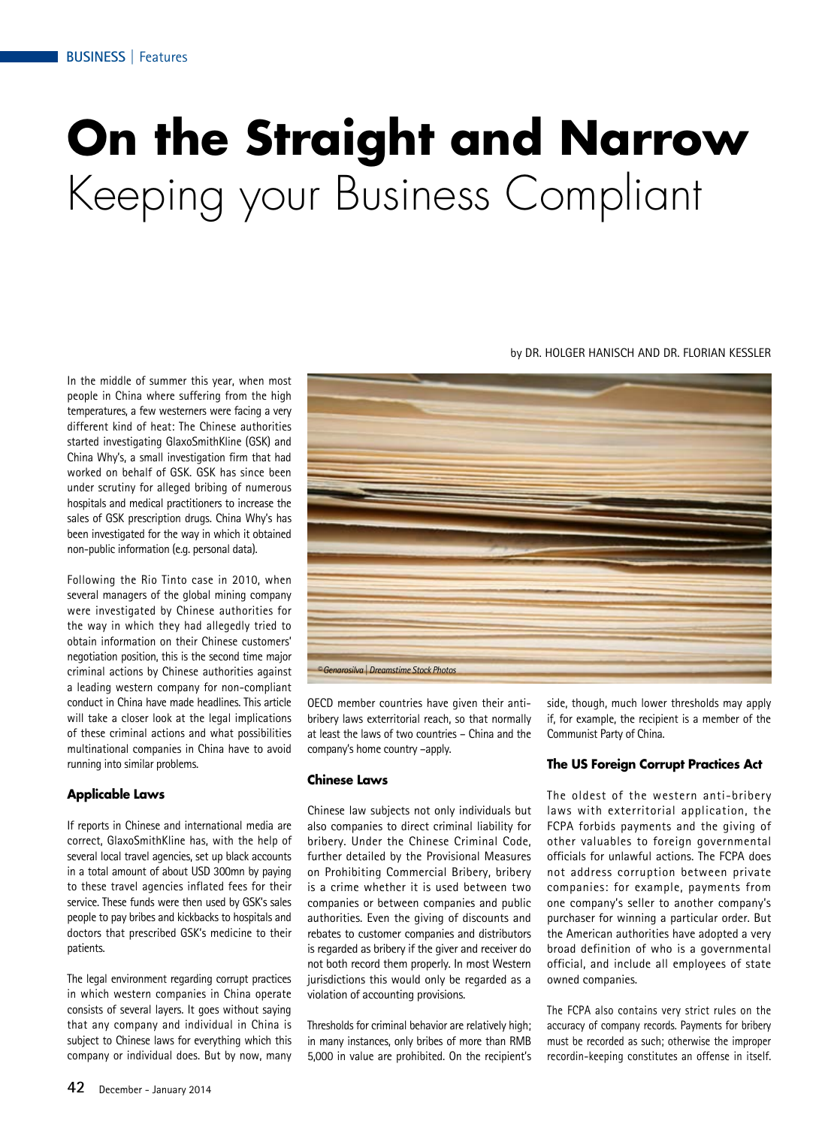# **On the Straight and Narrow** Keeping your Business Compliant

In the middle of summer this year, when most people in China where suffering from the high temperatures, a few westerners were facing a very different kind of heat: The Chinese authorities started investigating GlaxoSmithKline (GSK) and China Why's, a small investigation firm that had worked on behalf of GSK. GSK has since been under scrutiny for alleged bribing of numerous hospitals and medical practitioners to increase the sales of GSK prescription drugs. China Why's has been investigated for the way in which it obtained non-public information (e.g. personal data).

Following the Rio Tinto case in 2010, when several managers of the global mining company were investigated by Chinese authorities for the way in which they had allegedly tried to obtain information on their Chinese customers' negotiation position, this is the second time major criminal actions by Chinese authorities against a leading western company for non-compliant conduct in China have made headlines. This article will take a closer look at the legal implications of these criminal actions and what possibilities multinational companies in China have to avoid running into similar problems.

## **Applicable Laws**

If reports in Chinese and international media are correct, GlaxoSmithKline has, with the help of several local travel agencies, set up black accounts in a total amount of about USD 300mn by paying to these travel agencies inflated fees for their service. These funds were then used by GSK's sales people to pay bribes and kickbacks to hospitals and doctors that prescribed GSK's medicine to their patients.

The legal environment regarding corrupt practices in which western companies in China operate consists of several layers. It goes without saying that any company and individual in China is subject to Chinese laws for everything which this company or individual does. But by now, many



OECD member countries have given their antibribery laws exterritorial reach, so that normally at least the laws of two countries – China and the company's home country –apply.

#### **Chinese Laws**

Chinese law subjects not only individuals but also companies to direct criminal liability for bribery. Under the Chinese Criminal Code, further detailed by the Provisional Measures on Prohibiting Commercial Bribery, bribery is a crime whether it is used between two companies or between companies and public authorities. Even the giving of discounts and rebates to customer companies and distributors is regarded as bribery if the giver and receiver do not both record them properly. In most Western jurisdictions this would only be regarded as a violation of accounting provisions.

Thresholds for criminal behavior are relatively high; in many instances, only bribes of more than RMB 5,000 in value are prohibited. On the recipient's side, though, much lower thresholds may apply if, for example, the recipient is a member of the Communist Party of China.

# **The US Foreign Corrupt Practices Act**

The oldest of the western anti-bribery laws with exterritorial application, the FCPA forbids payments and the giving of other valuables to foreign governmental officials for unlawful actions. The FCPA does not address corruption between private companies: for example, payments from one company's seller to another company's purchaser for winning a particular order. But the American authorities have adopted a very broad definition of who is a governmental official, and include all employees of state owned companies.

The FCPA also contains very strict rules on the accuracy of company records. Payments for bribery must be recorded as such; otherwise the improper recordin-keeping constitutes an offense in itself.